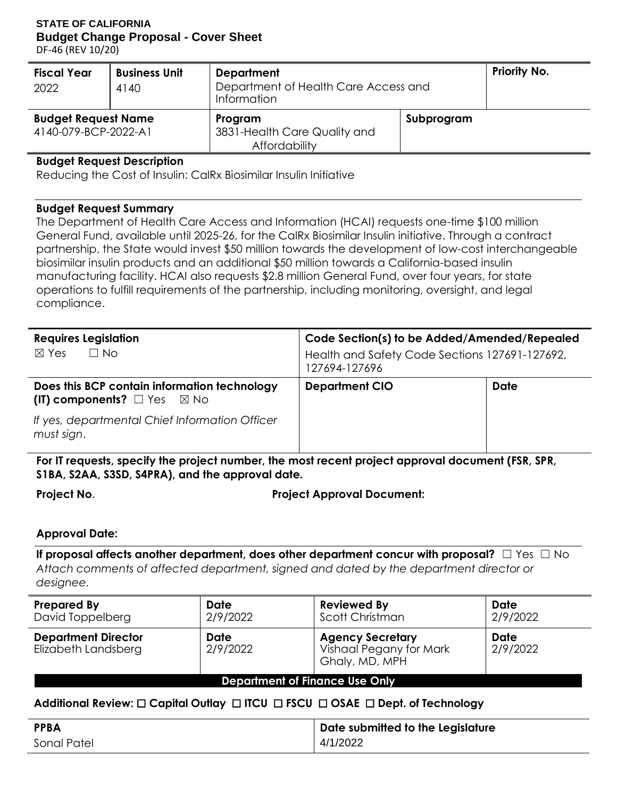**STATE OF CALIFORNIA Budget Change Proposal - Cover Sheet**

DF-46 (REV 10/20)

| <b>Fiscal Year</b><br>2022                         | <b>Business Unit</b><br>4140 | <b>Department</b><br>Department of Health Care Access and<br>Information | <b>Priority No.</b> |  |
|----------------------------------------------------|------------------------------|--------------------------------------------------------------------------|---------------------|--|
| <b>Budget Request Name</b><br>4140-079-BCP-2022-A1 |                              | Program<br>3831-Health Care Quality and<br>Affordability                 | Subprogram          |  |

#### **Budget Request Description**

Reducing the Cost of Insulin: CalRx Biosimilar Insulin Initiative

#### **Budget Request Summary**

The Department of Health Care Access and Information (HCAI) requests one-time \$100 million General Fund, available until 2025-26, for the CalRx Biosimilar Insulin initiative. Through a contract partnership, the State would invest \$50 million towards the development of low-cost interchangeable biosimilar insulin products and an additional \$50 million towards a California-based insulin manufacturing facility. HCAI also requests \$2.8 million General Fund, over four years, for state operations to fulfill requirements of the partnership, including monitoring, oversight, and legal compliance.

| <b>Requires Legislation</b>                                                                 | Code Section(s) to be Added/Amended/Repealed                    |             |  |  |  |
|---------------------------------------------------------------------------------------------|-----------------------------------------------------------------|-------------|--|--|--|
| $\Box$ No<br>$\boxtimes$ Yes                                                                | Health and Safety Code Sections 127691-127692,<br>127694-127696 |             |  |  |  |
| Does this BCP contain information technology<br>(IT) components? $\square$ Yes $\square$ No | <b>Department CIO</b>                                           | <b>Date</b> |  |  |  |
| If yes, departmental Chief Information Officer<br>must sign.                                |                                                                 |             |  |  |  |

**For IT requests, specify the project number, the most recent project approval document (FSR, SPR, S1BA, S2AA, S3SD, S4PRA), and the approval date.**

**Project No. Project Approval Document:**

#### **Approval Date:**

**If proposal affects another department, does other department concur with proposal?** □ Yes □ No *Attach comments of affected department, signed and dated by the department director or designee.*

| <b>Prepared By</b><br>David Toppelberg            | Date<br>2/9/2022        | <b>Reviewed By</b><br>Scott Christman                                       | Date<br>2/9/2022        |  |  |  |
|---------------------------------------------------|-------------------------|-----------------------------------------------------------------------------|-------------------------|--|--|--|
| <b>Department Director</b><br>Elizabeth Landsberg | <b>Date</b><br>2/9/2022 | <b>Agency Secretary</b><br><b>Vishaal Pegany for Mark</b><br>Ghaly, MD, MPH | <b>Date</b><br>2/9/2022 |  |  |  |
| <b>Department of Finance Use Only</b>             |                         |                                                                             |                         |  |  |  |

# **Additional Review:** ☐ **Capital Outlay** ☐ **ITCU** ☐ **FSCU** ☐ **OSAE** ☐ **Dept. of Technology**

| <b>PPBA</b> | Date submitted to the Legislature |
|-------------|-----------------------------------|
| Sonal Patel | 4/1/2022                          |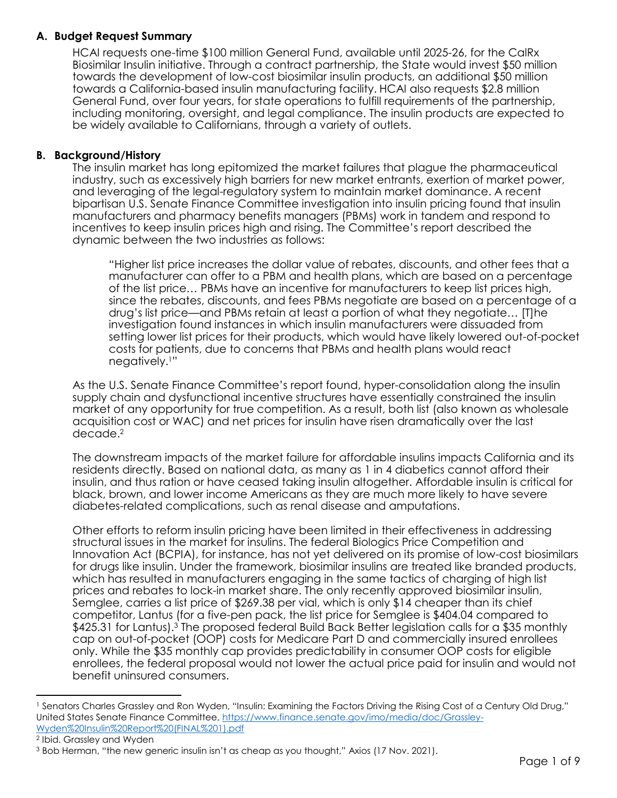## **A. Budget Request Summary**

HCAI requests one-time \$100 million General Fund, available until 2025-26, for the CalRx Biosimilar Insulin initiative. Through a contract partnership, the State would invest \$50 million towards the development of low-cost biosimilar insulin products, an additional \$50 million towards a California-based insulin manufacturing facility. HCAI also requests \$2.8 million General Fund, over four years, for state operations to fulfill requirements of the partnership, including monitoring, oversight, and legal compliance. The insulin products are expected to be widely available to Californians, through a variety of outlets.

#### **B. Background/History**

The insulin market has long epitomized the market failures that plague the pharmaceutical industry, such as excessively high barriers for new market entrants, exertion of market power, and leveraging of the legal-regulatory system to maintain market dominance. A recent bipartisan U.S. Senate Finance Committee investigation into insulin pricing found that insulin manufacturers and pharmacy benefits managers (PBMs) work in tandem and respond to incentives to keep insulin prices high and rising. The Committee's report described the dynamic between the two industries as follows:

"Higher list price increases the dollar value of rebates, discounts, and other fees that a manufacturer can offer to a PBM and health plans, which are based on a percentage of the list price… PBMs have an incentive for manufacturers to keep list prices high, since the rebates, discounts, and fees PBMs negotiate are based on a percentage of a drug's list price—and PBMs retain at least a portion of what they negotiate… [T]he investigation found instances in which insulin manufacturers were dissuaded from setting lower list prices for their products, which would have likely lowered out-of-pocket costs for patients, due to concerns that PBMs and health plans would react negatively.1"

As the U.S. Senate Finance Committee's report found, hyper-consolidation along the insulin supply chain and dysfunctional incentive structures have essentially constrained the insulin market of any opportunity for true competition. As a result, both list (also known as wholesale acquisition cost or WAC) and net prices for insulin have risen dramatically over the last decade.<sup>2</sup>

The downstream impacts of the market failure for affordable insulins impacts California and its residents directly. Based on national data, as many as 1 in 4 diabetics cannot afford their insulin, and thus ration or have ceased taking insulin altogether. Affordable insulin is critical for black, brown, and lower income Americans as they are much more likely to have severe diabetes-related complications, such as renal disease and amputations.

Other efforts to reform insulin pricing have been limited in their effectiveness in addressing structural issues in the market for insulins. The federal Biologics Price Competition and Innovation Act (BCPIA), for instance, has not yet delivered on its promise of low-cost biosimilars for drugs like insulin. Under the framework, biosimilar insulins are treated like branded products, which has resulted in manufacturers engaging in the same tactics of charging of high list prices and rebates to lock-in market share. The only recently approved biosimilar insulin, Semglee, carries a list price of \$269.38 per vial, which is only \$14 cheaper than its chief competitor, Lantus (for a five-pen pack, the list price for Semglee is \$404.04 compared to \$425.31 for Lantus).<sup>3</sup> The proposed federal Build Back Better legislation calls for a \$35 monthly cap on out-of-pocket (OOP) costs for Medicare Part D and commercially insured enrollees only. While the \$35 monthly cap provides predictability in consumer OOP costs for eligible enrollees, the federal proposal would not lower the actual price paid for insulin and would not benefit uninsured consumers.

 $\overline{a}$ 

<sup>1</sup> Senators Charles Grassley and Ron Wyden, "Insulin: Examining the Factors Driving the Rising Cost of a Century Old Drug," United States Senate Finance Committee, [https://www.finance.senate.gov/imo/media/doc/Grassley-](https://www.finance.senate.gov/imo/media/doc/Grassley-Wyden%20Insulin%20Report%20(FINAL%201).pdf)[Wyden%20Insulin%20Report%20\(FINAL%201\).pdf](https://www.finance.senate.gov/imo/media/doc/Grassley-Wyden%20Insulin%20Report%20(FINAL%201).pdf)

<sup>2</sup> Ibid. Grassley and Wyden

<sup>3</sup> Bob Herman, "the new generic insulin isn't as cheap as you thought," Axios (17 Nov. 2021).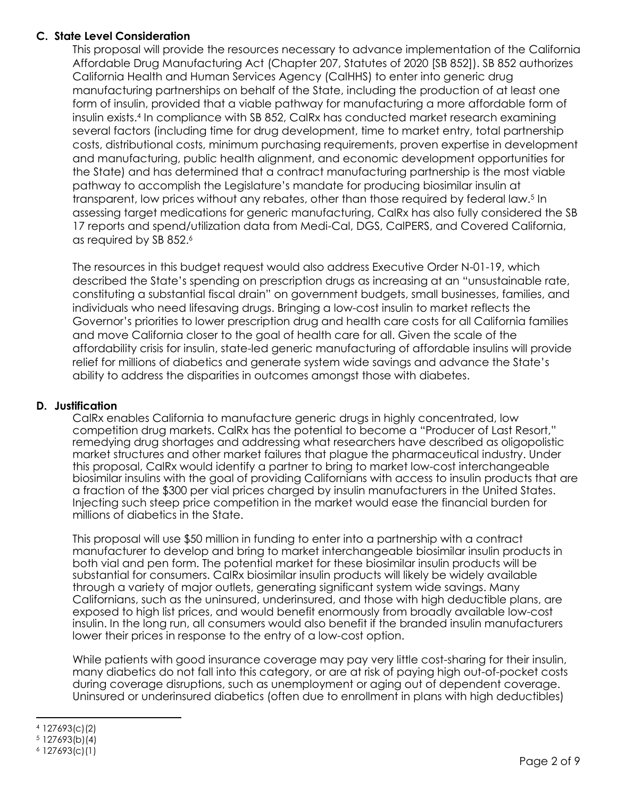# **C. State Level Consideration**

This proposal will provide the resources necessary to advance implementation of the California Affordable Drug Manufacturing Act (Chapter 207, Statutes of 2020 [SB 852]). SB 852 authorizes California Health and Human Services Agency (CalHHS) to enter into generic drug manufacturing partnerships on behalf of the State, including the production of at least one form of insulin, provided that a viable pathway for manufacturing a more affordable form of insulin exists.<sup>4</sup> In compliance with SB 852, CalRx has conducted market research examining several factors (including time for drug development, time to market entry, total partnership costs, distributional costs, minimum purchasing requirements, proven expertise in development and manufacturing, public health alignment, and economic development opportunities for the State) and has determined that a contract manufacturing partnership is the most viable pathway to accomplish the Legislature's mandate for producing biosimilar insulin at transparent, low prices without any rebates, other than those required by federal law.<sup>5</sup> In assessing target medications for generic manufacturing, CalRx has also fully considered the SB 17 reports and spend/utilization data from Medi-Cal, DGS, CalPERS, and Covered California, as required by SB 852. 6

The resources in this budget request would also address Executive Order N-01-19, which described the State's spending on prescription drugs as increasing at an "unsustainable rate, constituting a substantial fiscal drain" on government budgets, small businesses, families, and individuals who need lifesaving drugs. Bringing a low-cost insulin to market reflects the Governor's priorities to lower prescription drug and health care costs for all California families and move California closer to the goal of health care for all. Given the scale of the affordability crisis for insulin, state-led generic manufacturing of affordable insulins will provide relief for millions of diabetics and generate system wide savings and advance the State's ability to address the disparities in outcomes amongst those with diabetes.

#### **D. Justification**

CalRx enables California to manufacture generic drugs in highly concentrated, low competition drug markets. CalRx has the potential to become a "Producer of Last Resort," remedying drug shortages and addressing what researchers have described as oligopolistic market structures and other market failures that plague the pharmaceutical industry. Under this proposal, CalRx would identify a partner to bring to market low-cost interchangeable biosimilar insulins with the goal of providing Californians with access to insulin products that are a fraction of the \$300 per vial prices charged by insulin manufacturers in the United States. Injecting such steep price competition in the market would ease the financial burden for millions of diabetics in the State.

This proposal will use \$50 million in funding to enter into a partnership with a contract manufacturer to develop and bring to market interchangeable biosimilar insulin products in both vial and pen form. The potential market for these biosimilar insulin products will be substantial for consumers. CalRx biosimilar insulin products will likely be widely available through a variety of major outlets, generating significant system wide savings. Many Californians, such as the uninsured, underinsured, and those with high deductible plans, are exposed to high list prices, and would benefit enormously from broadly available low-cost insulin. In the long run, all consumers would also benefit if the branded insulin manufacturers lower their prices in response to the entry of a low-cost option.

While patients with good insurance coverage may pay very little cost-sharing for their insulin, many diabetics do not fall into this category, or are at risk of paying high out-of-pocket costs during coverage disruptions, such as unemployment or aging out of dependent coverage. Uninsured or underinsured diabetics (often due to enrollment in plans with high deductibles)

 $\overline{\phantom{a}}$ <sup>4</sup> 127693(c)(2)

<sup>5</sup> 127693(b)(4)

<sup>6</sup> 127693(c)(1)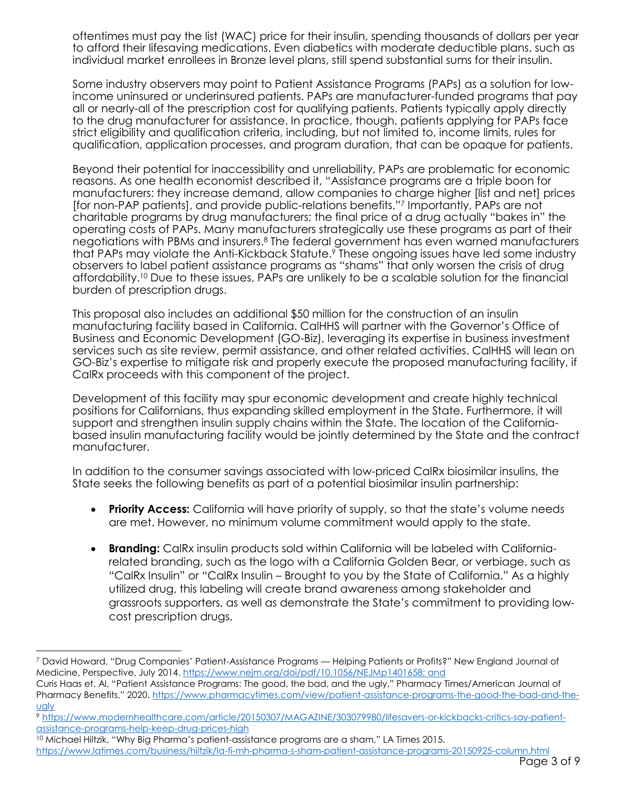oftentimes must pay the list (WAC) price for their insulin, spending thousands of dollars per year to afford their lifesaving medications. Even diabetics with moderate deductible plans, such as individual market enrollees in Bronze level plans, still spend substantial sums for their insulin.

Some industry observers may point to Patient Assistance Programs (PAPs) as a solution for lowincome uninsured or underinsured patients. PAPs are manufacturer-funded programs that pay all or nearly-all of the prescription cost for qualifying patients. Patients typically apply directly to the drug manufacturer for assistance. In practice, though, patients applying for PAPs face strict eligibility and qualification criteria, including, but not limited to, income limits, rules for qualification, application processes, and program duration, that can be opaque for patients.

Beyond their potential for inaccessibility and unreliability, PAPs are problematic for economic reasons. As one health economist described it, "Assistance programs are a triple boon for manufacturers: they increase demand, allow companies to charge higher [list and net] prices [for non-PAP patients], and provide public-relations benefits."<sup>7</sup> Importantly, PAPs are not charitable programs by drug manufacturers; the final price of a drug actually "bakes in" the operating costs of PAPs. Many manufacturers strategically use these programs as part of their negotiations with PBMs and insurers.<sup>8</sup> The federal government has even warned manufacturers that PAPs may violate the Anti-Kickback Statute.<sup>9</sup> These ongoing issues have led some industry observers to label patient assistance programs as "shams" that only worsen the crisis of drug affordability.<sup>10</sup> Due to these issues, PAPs are unlikely to be a scalable solution for the financial burden of prescription drugs.

This proposal also includes an additional \$50 million for the construction of an insulin manufacturing facility based in California. CalHHS will partner with the Governor's Office of Business and Economic Development (GO-Biz), leveraging its expertise in business investment services such as site review, permit assistance, and other related activities. CalHHS will lean on GO-Biz's expertise to mitigate risk and properly execute the proposed manufacturing facility, if CalRx proceeds with this component of the project.

Development of this facility may spur economic development and create highly technical positions for Californians, thus expanding skilled employment in the State. Furthermore, it will support and strengthen insulin supply chains within the State. The location of the Californiabased insulin manufacturing facility would be jointly determined by the State and the contract manufacturer.

In addition to the consumer savings associated with low-priced CalRx biosimilar insulins, the State seeks the following benefits as part of a potential biosimilar insulin partnership:

- **Priority Access:** California will have priority of supply, so that the state's volume needs are met. However, no minimum volume commitment would apply to the state.
- **Branding:** CalRx insulin products sold within California will be labeled with Californiarelated branding, such as the logo with a California Golden Bear, or verbiage, such as "CalRx Insulin" or "CalRx Insulin – Brought to you by the State of California." As a highly utilized drug, this labeling will create brand awareness among stakeholder and grassroots supporters, as well as demonstrate the State's commitment to providing lowcost prescription drugs.

l <sup>7</sup> David Howard, "Drug Companies' Patient-Assistance Programs — Helping Patients or Profits?" New England Journal of Medicine, Perspective, July 2014. [https://www.nejm.org/doi/pdf/10.1056/NEJMp1401658;](https://www.nejm.org/doi/pdf/10.1056/NEJMp1401658) and

Curis Haas et. Al, "Patient Assistance Programs: The good, the bad, and the ugly," Pharmacy Times/American Journal of Pharmacy Benefits," 2020. [https://www.pharmacytimes.com/view/patient-assistance-programs-the-good-the-bad-and-the](https://www.pharmacytimes.com/view/patient-assistance-programs-the-good-the-bad-and-the-ugly)[ugly](https://www.pharmacytimes.com/view/patient-assistance-programs-the-good-the-bad-and-the-ugly)

<sup>9</sup> [https://www.modernhealthcare.com/article/20150307/MAGAZINE/303079980/lifesavers-or-kickbacks-critics-say-patient](https://www.modernhealthcare.com/article/20150307/MAGAZINE/303079980/lifesavers-or-kickbacks-critics-say-patient-assistance-programs-help-keep-drug-prices-high)[assistance-programs-help-keep-drug-prices-high](https://www.modernhealthcare.com/article/20150307/MAGAZINE/303079980/lifesavers-or-kickbacks-critics-say-patient-assistance-programs-help-keep-drug-prices-high)

<sup>&</sup>lt;sup>10</sup> Michael Hiltzik, "Why Big Pharma's patient-assistance programs are a sham," LA Times 2015.

<https://www.latimes.com/business/hiltzik/la-fi-mh-pharma-s-sham-patient-assistance-programs-20150925-column.html>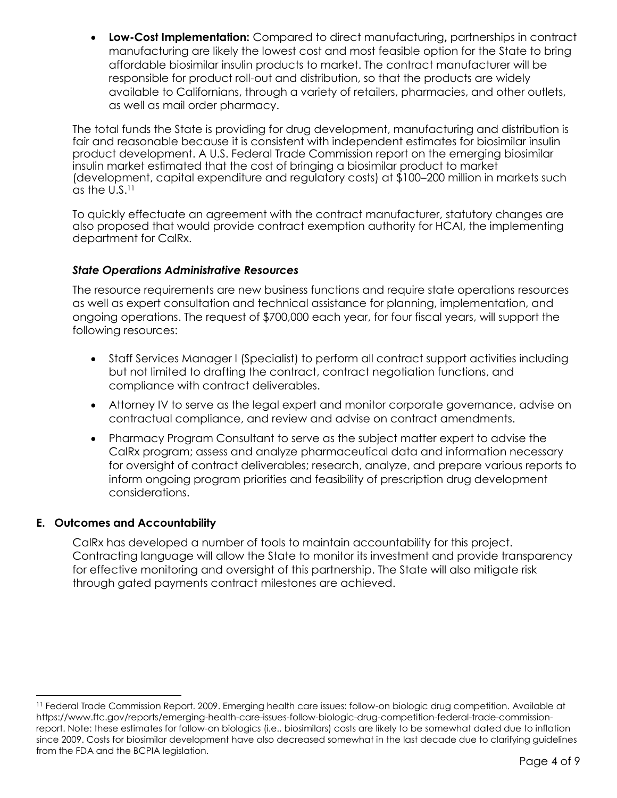**Low-Cost Implementation:** Compared to direct manufacturing**,** partnerships in contract manufacturing are likely the lowest cost and most feasible option for the State to bring affordable biosimilar insulin products to market. The contract manufacturer will be responsible for product roll-out and distribution, so that the products are widely available to Californians, through a variety of retailers, pharmacies, and other outlets, as well as mail order pharmacy.

The total funds the State is providing for drug development, manufacturing and distribution is fair and reasonable because it is consistent with independent estimates for biosimilar insulin product development. A U.S. Federal Trade Commission report on the emerging biosimilar insulin market estimated that the cost of bringing a biosimilar product to market (development, capital expenditure and regulatory costs) at \$100–200 million in markets such as the  $U.S.<sup>11</sup>$ 

To quickly effectuate an agreement with the contract manufacturer, statutory changes are also proposed that would provide contract exemption authority for HCAI, the implementing department for CalRx.

# *State Operations Administrative Resources*

The resource requirements are new business functions and require state operations resources as well as expert consultation and technical assistance for planning, implementation, and ongoing operations. The request of \$700,000 each year, for four fiscal years, will support the following resources:

- Staff Services Manager I (Specialist) to perform all contract support activities including but not limited to drafting the contract, contract negotiation functions, and compliance with contract deliverables.
- Attorney IV to serve as the legal expert and monitor corporate governance, advise on contractual compliance, and review and advise on contract amendments.
- Pharmacy Program Consultant to serve as the subject matter expert to advise the CalRx program; assess and analyze pharmaceutical data and information necessary for oversight of contract deliverables; research, analyze, and prepare various reports to inform ongoing program priorities and feasibility of prescription drug development considerations.

#### **E. Outcomes and Accountability**

 $\overline{a}$ 

CalRx has developed a number of tools to maintain accountability for this project. Contracting language will allow the State to monitor its investment and provide transparency for effective monitoring and oversight of this partnership. The State will also mitigate risk through gated payments contract milestones are achieved.

<sup>11</sup> Federal Trade Commission Report. 2009. Emerging health care issues: follow-on biologic drug competition. Available a[t](https://www.ftc.gov/reports/emerging-health-care-issues-follow-biologic-drug-competition-federal-trade-commission-report) [https://www.ftc.gov/reports/emerging-health-care-issues-follow-biologic-drug-competition-federal-trade-commission](https://www.ftc.gov/reports/emerging-health-care-issues-follow-biologic-drug-competition-federal-trade-commission-report)[report.](https://www.ftc.gov/reports/emerging-health-care-issues-follow-biologic-drug-competition-federal-trade-commission-report) Note: these estimates for follow-on biologics (i.e., biosimilars) costs are likely to be somewhat dated due to inflation since 2009. Costs for biosimilar development have also decreased somewhat in the last decade due to clarifying guidelines from the FDA and the BCPIA legislation.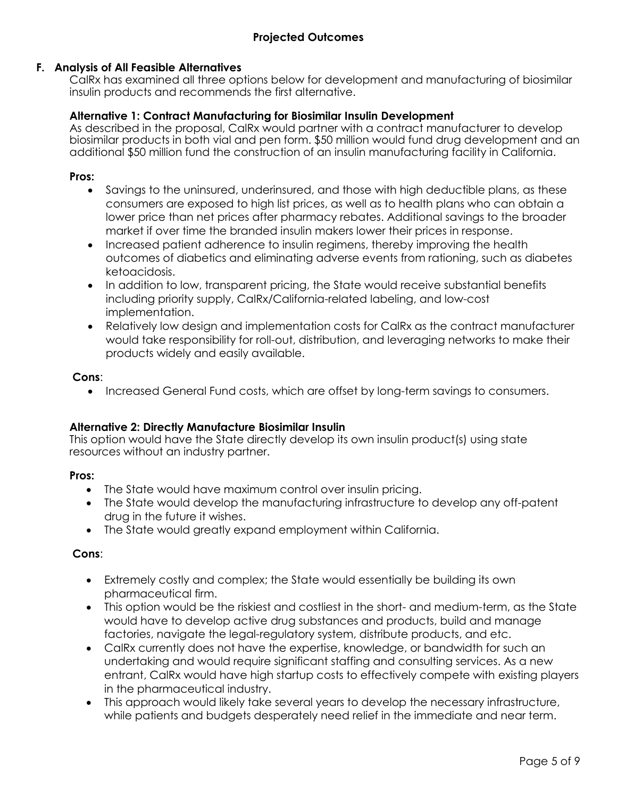## **F. Analysis of All Feasible Alternatives**

CalRx has examined all three options below for development and manufacturing of biosimilar insulin products and recommends the first alternative.

## **Alternative 1: Contract Manufacturing for Biosimilar Insulin Development**

As described in the proposal, CalRx would partner with a contract manufacturer to develop biosimilar products in both vial and pen form. \$50 million would fund drug development and an additional \$50 million fund the construction of an insulin manufacturing facility in California.

## **Pros:**

- Savings to the uninsured, underinsured, and those with high deductible plans, as these consumers are exposed to high list prices, as well as to health plans who can obtain a lower price than net prices after pharmacy rebates. Additional savings to the broader market if over time the branded insulin makers lower their prices in response.
- Increased patient adherence to insulin regimens, thereby improving the health outcomes of diabetics and eliminating adverse events from rationing, such as diabetes ketoacidosis.
- In addition to low, transparent pricing, the State would receive substantial benefits including priority supply, CalRx/California-related labeling, and low-cost implementation.
- Relatively low design and implementation costs for CalRx as the contract manufacturer would take responsibility for roll-out, distribution, and leveraging networks to make their products widely and easily available.

## **Cons**:

• Increased General Fund costs, which are offset by long-term savings to consumers.

#### **Alternative 2: Directly Manufacture Biosimilar Insulin**

This option would have the State directly develop its own insulin product(s) using state resources without an industry partner.

#### **Pros:**

- The State would have maximum control over insulin pricing.
- The State would develop the manufacturing infrastructure to develop any off-patent drug in the future it wishes.
- The State would greatly expand employment within California.

#### **Cons**:

- Extremely costly and complex; the State would essentially be building its own pharmaceutical firm.
- This option would be the riskiest and costliest in the short- and medium-term, as the State would have to develop active drug substances and products, build and manage factories, navigate the legal-regulatory system, distribute products, and etc.
- CalRx currently does not have the expertise, knowledge, or bandwidth for such an undertaking and would require significant staffing and consulting services. As a new entrant, CalRx would have high startup costs to effectively compete with existing players in the pharmaceutical industry.
- This approach would likely take several years to develop the necessary infrastructure, while patients and budgets desperately need relief in the immediate and near term.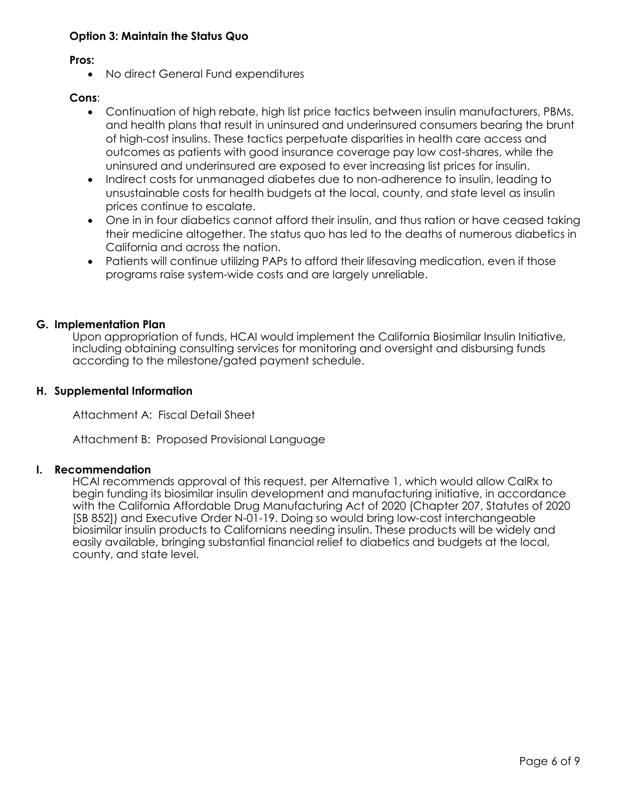# **Option 3: Maintain the Status Quo**

**Pros:**

• No direct General Fund expenditures

# **Cons**:

- Continuation of high rebate, high list price tactics between insulin manufacturers, PBMs, and health plans that result in uninsured and underinsured consumers bearing the brunt of high-cost insulins. These tactics perpetuate disparities in health care access and outcomes as patients with good insurance coverage pay low cost-shares, while the uninsured and underinsured are exposed to ever increasing list prices for insulin.
- Indirect costs for unmanaged diabetes due to non-adherence to insulin, leading to unsustainable costs for health budgets at the local, county, and state level as insulin prices continue to escalate.
- One in in four diabetics cannot afford their insulin, and thus ration or have ceased taking their medicine altogether. The status quo has led to the deaths of numerous diabetics in California and across the nation.
- Patients will continue utilizing PAPs to afford their lifesaving medication, even if those programs raise system-wide costs and are largely unreliable.

# **G. Implementation Plan**

Upon appropriation of funds, HCAI would implement the California Biosimilar Insulin Initiative, including obtaining consulting services for monitoring and oversight and disbursing funds according to the milestone/gated payment schedule.

## **H. Supplemental Information**

Attachment A: Fiscal Detail Sheet

Attachment B: Proposed Provisional Language

#### **I. Recommendation**

HCAI recommends approval of this request, per Alternative 1, which would allow CalRx to begin funding its biosimilar insulin development and manufacturing initiative, in accordance with the California Affordable Drug Manufacturing Act of 2020 (Chapter 207, Statutes of 2020 [SB 852]) and Executive Order N-01-19. Doing so would bring low-cost interchangeable biosimilar insulin products to Californians needing insulin. These products will be widely and easily available, bringing substantial financial relief to diabetics and budgets at the local, county, and state level.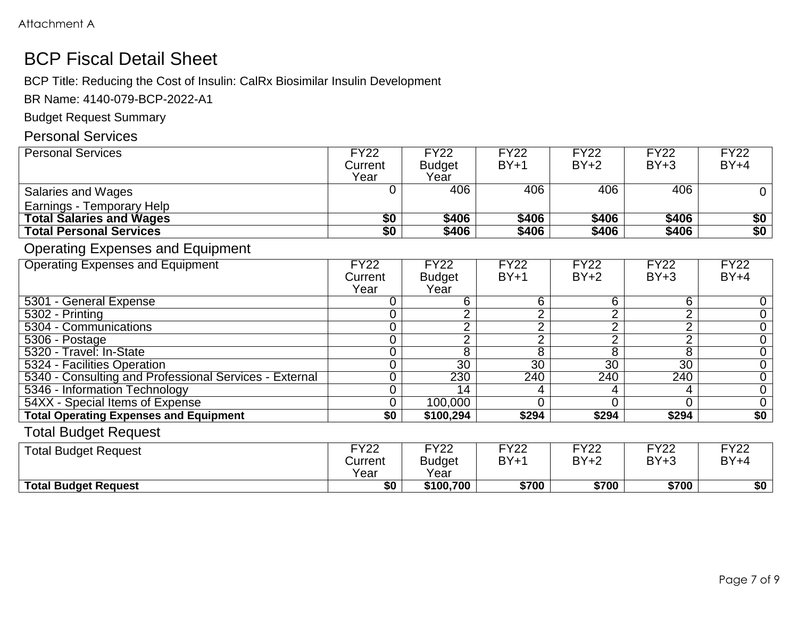# BCP Fiscal Detail Sheet

BCP Title: Reducing the Cost of Insulin: CalRx Biosimilar Insulin Development

BR Name: 4140-079-BCP-2022-A1

Budget Request Summary

# Personal Services

| <b>Personal Services</b>                               | <b>FY22</b>      | <b>FY22</b>     | <b>FY22</b>     | <b>FY22</b>     | <b>FY22</b>     | <b>FY22</b>      |
|--------------------------------------------------------|------------------|-----------------|-----------------|-----------------|-----------------|------------------|
|                                                        | Current          | <b>Budget</b>   | $BY+1$          | $BY+2$          | $BY+3$          | $BY+4$           |
|                                                        | Year             | Year            |                 |                 |                 |                  |
| Salaries and Wages                                     | 0                | 406             | 406             | 406             | 406             | $\overline{0}$   |
| Earnings - Temporary Help                              |                  |                 |                 |                 |                 |                  |
| <b>Total Salaries and Wages</b>                        | \$0              | \$406           | \$406           | \$406           | \$406           |                  |
| <b>Total Personal Services</b>                         | $\overline{\$0}$ | \$406           | \$406           | \$406           | \$406           | $rac{$0}{$0}$    |
| <b>Operating Expenses and Equipment</b>                |                  |                 |                 |                 |                 |                  |
| <b>Operating Expenses and Equipment</b>                | <b>FY22</b>      | <b>FY22</b>     | <b>FY22</b>     | <b>FY22</b>     | <b>FY22</b>     | <b>FY22</b>      |
|                                                        | Current          | <b>Budget</b>   | $BY+1$          | $BY+2$          | $BY+3$          | $BY+4$           |
|                                                        | Year             | Year            |                 |                 |                 |                  |
| 5301 - General Expense                                 | 0                | 6               | 6               | 6               | 6               | 0                |
| 5302 - Printing                                        | 0                | $\overline{2}$  | 2               | $\overline{2}$  | $\overline{2}$  | $\overline{0}$   |
| 5304 - Communications                                  | 0                | $\overline{2}$  | $\overline{2}$  | $\overline{2}$  | $\overline{2}$  | $\overline{0}$   |
| $\overline{5306}$ - Postage                            | 0                | $\overline{2}$  | $\overline{2}$  | $\overline{2}$  | $\overline{2}$  | $\overline{0}$   |
| 5320 - Travel: In-State                                | 0                | $\overline{8}$  | $\overline{8}$  | $\overline{8}$  | 8               | $\overline{0}$   |
| 5324 - Facilities Operation                            | 0                | $\overline{30}$ | $\overline{30}$ | $\overline{30}$ | $\overline{30}$ | $\overline{0}$   |
| 5340 - Consulting and Professional Services - External | 0                | 230             | 240             | 240             | 240             | $\overline{0}$   |
| 5346 - Information Technology                          | 0                | $\overline{14}$ |                 | 4               | 4               | $\boldsymbol{0}$ |
| 54XX - Special Items of Expense                        | 0                | 100,000         | ∩               | $\overline{0}$  | 0               | $\overline{0}$   |
| <b>Total Operating Expenses and Equipment</b>          | \$0              | \$100,294       | \$294           | \$294           | \$294           | \$0              |
| <b>Total Budget Request</b>                            |                  |                 |                 |                 |                 |                  |
| <b>Total Budget Request</b>                            | <b>FY22</b>      | <b>FY22</b>     | <b>FY22</b>     | <b>FY22</b>     | <b>FY22</b>     | <b>FY22</b>      |
|                                                        | Current          | <b>Budget</b>   | $BY+1$          | $BY+2$          | $BY+3$          | $BY+4$           |
|                                                        | Year             | Year            |                 |                 |                 |                  |
| <b>Total Budget Request</b>                            | $\overline{50}$  | \$100,700       | \$700           | \$700           | \$700           | $\overline{50}$  |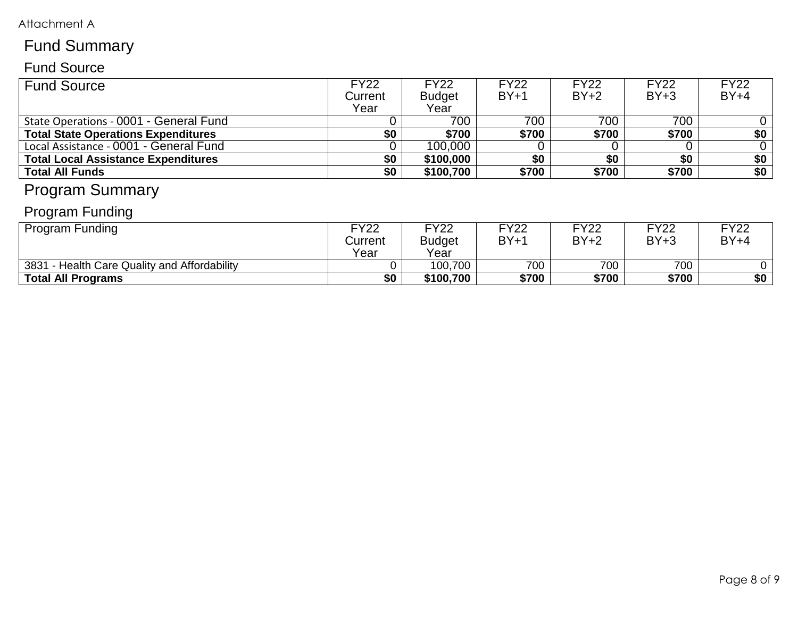# Attachment A

# Fund Summary

# Fund Source

| <b>Fund Source</b>                         | <b>FY22</b><br>Current<br>Year | <b>FY22</b><br><b>Budget</b><br>Year | <b>FY22</b><br>$BY+1$ | <b>FY22</b><br>$BY+2$ | <b>FY22</b><br>$BY+3$ | <b>FY22</b><br>$BY+4$ |
|--------------------------------------------|--------------------------------|--------------------------------------|-----------------------|-----------------------|-----------------------|-----------------------|
| State Operations - 0001 - General Fund     |                                | 700                                  | 700                   | 700                   | 700                   |                       |
| <b>Total State Operations Expenditures</b> | \$0                            | \$700                                | \$700                 | \$700                 | \$700                 | \$0                   |
| Local Assistance - 0001 - General Fund     |                                | 100,000                              |                       |                       |                       |                       |
| <b>Total Local Assistance Expenditures</b> | \$0                            | \$100,000                            | \$0                   | \$0                   | \$0                   | \$0                   |
| <b>Total All Funds</b>                     | \$0                            | \$100,700                            | \$700                 | \$700                 | \$700                 | \$0                   |

# Program Summary

# Program Funding

| <b>Program Funding</b>                       | <b>FY22</b><br>Current<br>Year | <b>FY22</b><br><b>Budget</b><br>Year | FY22<br>$BY+1$ | FY22<br>$BY+2$ | FY22<br>$BY+3$ | FY22<br>$BY+4$ |
|----------------------------------------------|--------------------------------|--------------------------------------|----------------|----------------|----------------|----------------|
| 3831 - Health Care Quality and Affordability |                                | 100,700                              | 700            | 700            | 700            |                |
| Total All Programs                           | \$0                            | \$100,700                            | \$700          | \$700          | \$700          | \$0            |